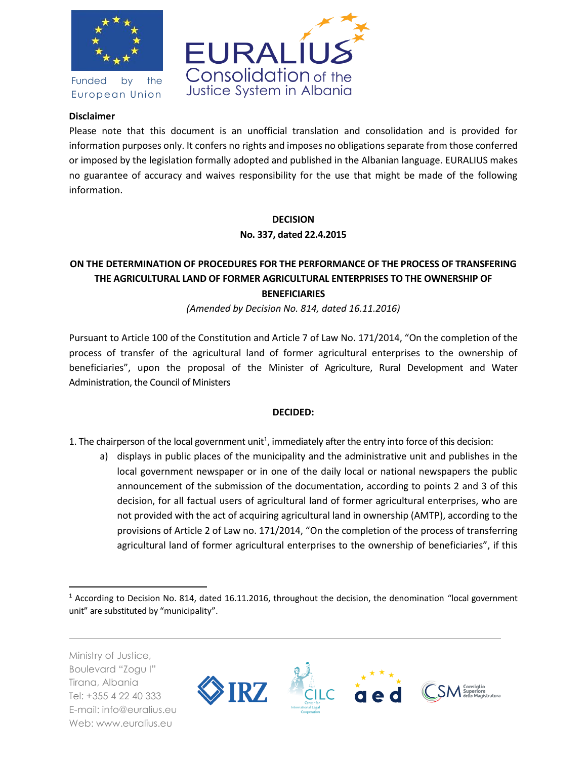

Funded by the European Union



# **Disclaimer**

Please note that this document is an unofficial translation and consolidation and is provided for information purposes only. It confers no rights and imposes no obligations separate from those conferred or imposed by the legislation formally adopted and published in the Albanian language. EURALIUS makes no guarantee of accuracy and waives responsibility for the use that might be made of the following information.

# **DECISION No. 337, dated 22.4.2015**

# **ON THE DETERMINATION OF PROCEDURES FOR THE PERFORMANCE OF THE PROCESS OF TRANSFERING THE AGRICULTURAL LAND OF FORMER AGRICULTURAL ENTERPRISES TO THE OWNERSHIP OF BENEFICIARIES**

*(Amended by Decision No. 814, dated 16.11.2016)*

Pursuant to Article 100 of the Constitution and Article 7 of Law No. 171/2014, "On the completion of the process of transfer of the agricultural land of former agricultural enterprises to the ownership of beneficiaries", upon the proposal of the Minister of Agriculture, Rural Development and Water Administration, the Council of Ministers

# **DECIDED:**

1. The chairperson of the local government unit<sup>1</sup>, immediately after the entry into force of this decision:

a) displays in public places of the municipality and the administrative unit and publishes in the local government newspaper or in one of the daily local or national newspapers the public announcement of the submission of the documentation, according to points 2 and 3 of this decision, for all factual users of agricultural land of former agricultural enterprises, who are not provided with the act of acquiring agricultural land in ownership (AMTP), according to the provisions of Article 2 of Law no. 171/2014, "On the completion of the process of transferring agricultural land of former agricultural enterprises to the ownership of beneficiaries", if this

Ministry of Justice, Boulevard "Zogu I" Tirana, Albania Tel: +355 4 22 40 333 E-mail: info@euralius.eu Web: www.euralius.eu

 $\overline{\phantom{a}}$ 



<sup>&</sup>lt;sup>1</sup> According to Decision No. 814, dated 16.11.2016, throughout the decision, the denomination "local government unit" are substituted by "municipality".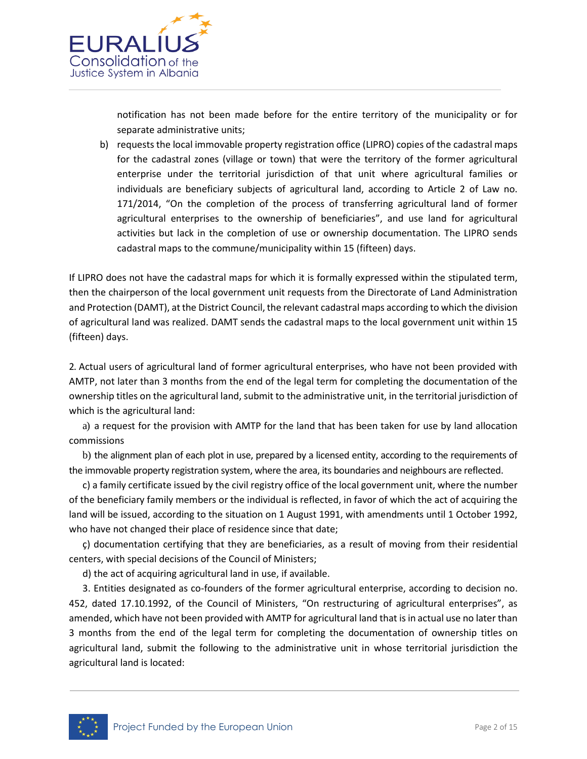

notification has not been made before for the entire territory of the municipality or for separate administrative units;

b) requests the local immovable property registration office (LIPRO) copies of the cadastral maps for the cadastral zones (village or town) that were the territory of the former agricultural enterprise under the territorial jurisdiction of that unit where agricultural families or individuals are beneficiary subjects of agricultural land, according to Article 2 of Law no. 171/2014, "On the completion of the process of transferring agricultural land of former agricultural enterprises to the ownership of beneficiaries", and use land for agricultural activities but lack in the completion of use or ownership documentation. The LIPRO sends cadastral maps to the commune/municipality within 15 (fifteen) days.

If LIPRO does not have the cadastral maps for which it is formally expressed within the stipulated term, then the chairperson of the local government unit requests from the Directorate of Land Administration and Protection (DAMT), at the District Council, the relevant cadastral maps according to which the division of agricultural land was realized. DAMT sends the cadastral maps to the local government unit within 15 (fifteen) days.

2. Actual users of agricultural land of former agricultural enterprises, who have not been provided with AMTP, not later than 3 months from the end of the legal term for completing the documentation of the ownership titles on the agricultural land, submit to the administrative unit, in the territorial jurisdiction of which is the agricultural land:

a) a request for the provision with AMTP for the land that has been taken for use by land allocation commissions

b) the alignment plan of each plot in use, prepared by a licensed entity, according to the requirements of the immovable property registration system, where the area, its boundaries and neighbours are reflected.

c) a family certificate issued by the civil registry office of the local government unit, where the number of the beneficiary family members or the individual is reflected, in favor of which the act of acquiring the land will be issued, according to the situation on 1 August 1991, with amendments until 1 October 1992, who have not changed their place of residence since that date;

ç) documentation certifying that they are beneficiaries, as a result of moving from their residential centers, with special decisions of the Council of Ministers;

d) the act of acquiring agricultural land in use, if available.

3. Entities designated as co-founders of the former agricultural enterprise, according to decision no. 452, dated 17.10.1992, of the Council of Ministers, "On restructuring of agricultural enterprises", as amended, which have not been provided with AMTP for agricultural land that is in actual use no later than 3 months from the end of the legal term for completing the documentation of ownership titles on agricultural land, submit the following to the administrative unit in whose territorial jurisdiction the agricultural land is located:

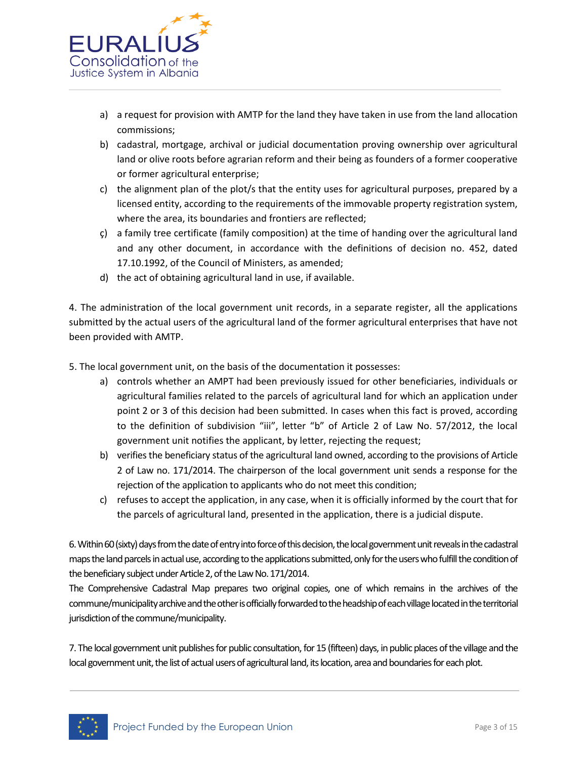

- a) a request for provision with AMTP for the land they have taken in use from the land allocation commissions;
- b) cadastral, mortgage, archival or judicial documentation proving ownership over agricultural land or olive roots before agrarian reform and their being as founders of a former cooperative or former agricultural enterprise;
- c) the alignment plan of the plot/s that the entity uses for agricultural purposes, prepared by a licensed entity, according to the requirements of the immovable property registration system, where the area, its boundaries and frontiers are reflected;
- ç) a family tree certificate (family composition) at the time of handing over the agricultural land and any other document, in accordance with the definitions of decision no. 452, dated 17.10.1992, of the Council of Ministers, as amended;
- d) the act of obtaining agricultural land in use, if available.

4. The administration of the local government unit records, in a separate register, all the applications submitted by the actual users of the agricultural land of the former agricultural enterprises that have not been provided with AMTP.

5. The local government unit, on the basis of the documentation it possesses:

- a) controls whether an AMPT had been previously issued for other beneficiaries, individuals or agricultural families related to the parcels of agricultural land for which an application under point 2 or 3 of this decision had been submitted. In cases when this fact is proved, according to the definition of subdivision "iii", letter "b" of Article 2 of Law No. 57/2012, the local government unit notifies the applicant, by letter, rejecting the request;
- b) verifies the beneficiary status of the agricultural land owned, according to the provisions of Article 2 of Law no. 171/2014. The chairperson of the local government unit sends a response for the rejection of the application to applicants who do not meet this condition;
- c) refuses to accept the application, in any case, when it is officially informed by the court that for the parcels of agricultural land, presented in the application, there is a judicial dispute.

6. Within 60 (sixty) days from the date of entry into force of this decision, the local government unit reveals in the cadastral maps the land parcels in actual use, according to the applications submitted, only for the users who fulfill the condition of the beneficiary subject under Article 2, of the Law No. 171/2014.

The Comprehensive Cadastral Map prepares two original copies, one of which remains in the archives of the commune/municipality archive and the other is officially forwarded to the headship of each villagelocated in the territorial jurisdiction of the commune/municipality.

7. The local government unit publishes for public consultation, for 15 (fifteen) days, in public places of the village and the local government unit, the list of actual users of agricultural land, its location, area and boundaries for each plot.

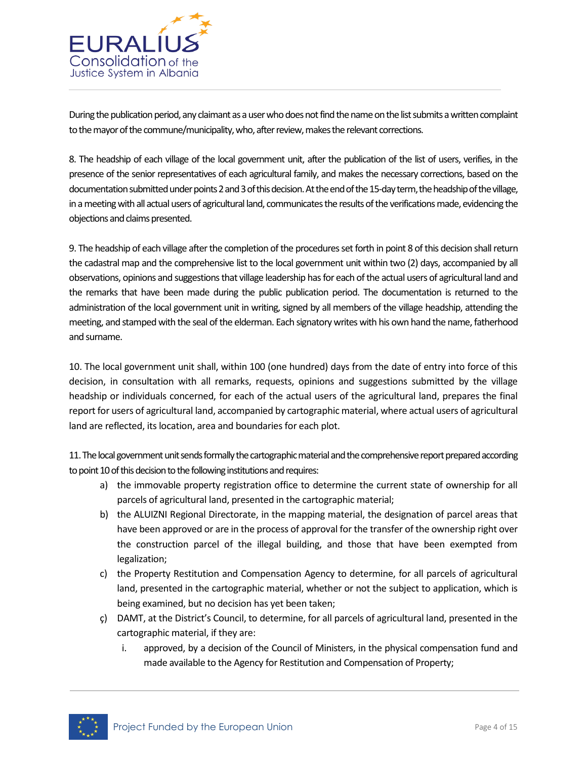

During the publication period, any claimant as a user who does not find the name on the list submits a written complaint to the mayor of the commune/municipality, who, after review, makes the relevant corrections.

8. The headship of each village of the local government unit, after the publication of the list of users, verifies, in the presence of the senior representatives of each agricultural family, and makes the necessary corrections, based on the documentation submitted under points 2 and 3 of this decision. At the end of the 15-day term, the headship of the village, in a meeting with all actual users of agricultural land, communicates the results of the verifications made, evidencing the objections and claims presented.

9. The headship of each village after the completion of the procedures set forth in point 8 of this decision shall return the cadastral map and the comprehensive list to the local government unit within two (2) days, accompanied by all observations, opinions and suggestions that village leadership has for each of the actual users of agricultural land and the remarks that have been made during the public publication period. The documentation is returned to the administration of the local government unit in writing, signed by all members of the village headship, attending the meeting, and stamped with the seal of the elderman. Each signatory writes with his own hand the name, fatherhood and surname.

10. The local government unit shall, within 100 (one hundred) days from the date of entry into force of this decision, in consultation with all remarks, requests, opinions and suggestions submitted by the village headship or individuals concerned, for each of the actual users of the agricultural land, prepares the final report for users of agricultural land, accompanied by cartographic material, where actual users of agricultural land are reflected, its location, area and boundaries for each plot.

11. The local government unit sends formally the cartographic material and the comprehensive report prepared according to point 10 of this decision to the following institutions and requires:

- a) the immovable property registration office to determine the current state of ownership for all parcels of agricultural land, presented in the cartographic material;
- b) the ALUIZNI Regional Directorate, in the mapping material, the designation of parcel areas that have been approved or are in the process of approval for the transfer of the ownership right over the construction parcel of the illegal building, and those that have been exempted from legalization;
- c) the Property Restitution and Compensation Agency to determine, for all parcels of agricultural land, presented in the cartographic material, whether or not the subject to application, which is being examined, but no decision has yet been taken;
- ç) DAMT, at the District's Council, to determine, for all parcels of agricultural land, presented in the cartographic material, if they are:
	- i. approved, by a decision of the Council of Ministers, in the physical compensation fund and made available to the Agency for Restitution and Compensation of Property;

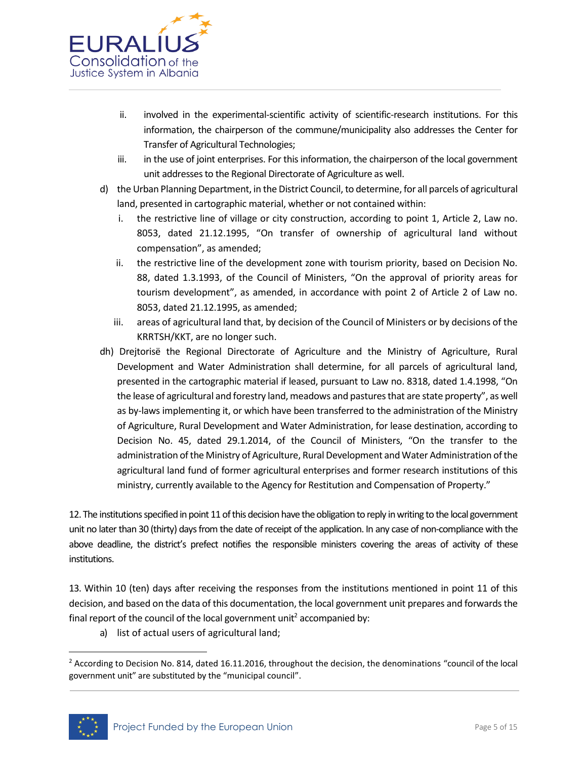

- ii. involved in the experimental-scientific activity of scientific-research institutions. For this information, the chairperson of the commune/municipality also addresses the Center for Transfer of Agricultural Technologies;
- iii. in the use of joint enterprises. For this information, the chairperson of the local government unit addresses to the Regional Directorate of Agriculture as well.
- d) the Urban Planning Department, in the District Council, to determine, for all parcels of agricultural land, presented in cartographic material, whether or not contained within:
	- i. the restrictive line of village or city construction, according to point 1, Article 2, Law no. 8053, dated 21.12.1995, "On transfer of ownership of agricultural land without compensation", as amended;
	- ii. the restrictive line of the development zone with tourism priority, based on Decision No. 88, dated 1.3.1993, of the Council of Ministers, "On the approval of priority areas for tourism development", as amended, in accordance with point 2 of Article 2 of Law no. 8053, dated 21.12.1995, as amended;
	- iii. areas of agricultural land that, by decision of the Council of Ministers or by decisions of the KRRTSH/KKT, are no longer such.
- dh) Drejtorisë the Regional Directorate of Agriculture and the Ministry of Agriculture, Rural Development and Water Administration shall determine, for all parcels of agricultural land, presented in the cartographic material if leased, pursuant to Law no. 8318, dated 1.4.1998, "On the lease of agricultural and forestry land, meadows and pastures that are state property", as well as by-laws implementing it, or which have been transferred to the administration of the Ministry of Agriculture, Rural Development and Water Administration, for lease destination, according to Decision No. 45, dated 29.1.2014, of the Council of Ministers, "On the transfer to the administration of the Ministry of Agriculture, Rural Development and Water Administration of the agricultural land fund of former agricultural enterprises and former research institutions of this ministry, currently available to the Agency for Restitution and Compensation of Property."

12. The institutions specified in point 11 of this decision have the obligation to reply in writing to the local government unit no later than 30 (thirty) days from the date of receipt of the application. In any case of non-compliance with the above deadline, the district's prefect notifies the responsible ministers covering the areas of activity of these institutions.

13. Within 10 (ten) days after receiving the responses from the institutions mentioned in point 11 of this decision, and based on the data of this documentation, the local government unit prepares and forwards the final report of the council of the local government unit<sup>2</sup> accompanied by:

a) list of actual users of agricultural land;

 $2$  According to Decision No. 814, dated 16.11.2016, throughout the decision, the denominations "council of the local government unit" are substituted by the "municipal council".



 $\overline{a}$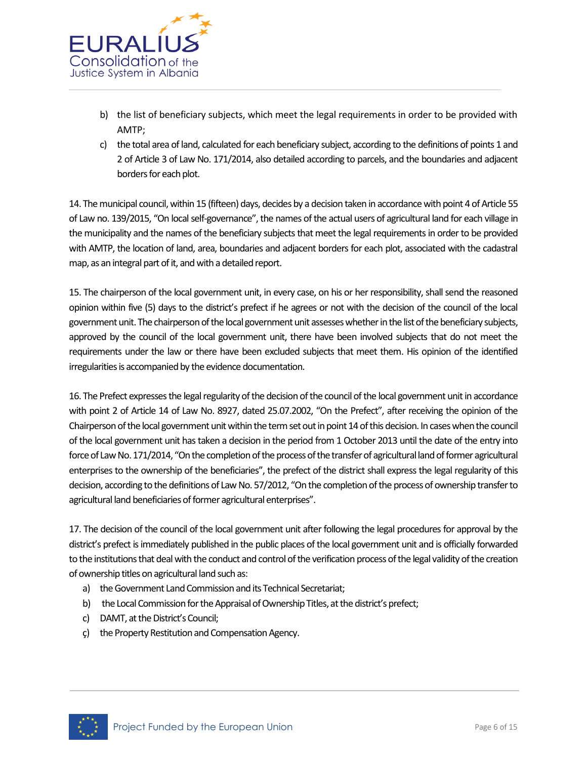

- b) the list of beneficiary subjects, which meet the legal requirements in order to be provided with AMTP;
- c) the total area of land, calculated for each beneficiary subject, according to the definitions of points 1 and 2 of Article 3 of Law No. 171/2014, also detailed according to parcels, and the boundaries and adjacent borders for each plot.

14. The municipal council, within 15 (fifteen) days, decides by a decision taken in accordance with point 4 of Article 55 of Law no. 139/2015, "On local self-governance", the names of the actual users of agricultural land for each village in the municipality and the names of the beneficiary subjects that meet the legal requirements in order to be provided with AMTP, the location of land, area, boundaries and adjacent borders for each plot, associated with the cadastral map, as an integral part of it, and with a detailed report.

15. The chairperson of the local government unit, in every case, on his or her responsibility, shall send the reasoned opinion within five (5) days to the district's prefect if he agrees or not with the decision of the council of the local government unit. The chairperson of the local government unit assesses whether in the list of the beneficiary subjects, approved by the council of the local government unit, there have been involved subjects that do not meet the requirements under the law or there have been excluded subjects that meet them. His opinion of the identified irregularities is accompanied by the evidence documentation.

16. The Prefect expresses the legal regularity of the decision of the council of the local government unit in accordance with point 2 of Article 14 of Law No. 8927, dated 25.07.2002, "On the Prefect", after receiving the opinion of the Chairperson of the local government unit within the term set out in point 14 of this decision. In cases when the council of the local government unit has taken a decision in the period from 1 October 2013 until the date of the entry into force of Law No. 171/2014, "On the completion of the process of the transfer of agricultural land of former agricultural enterprises to the ownership of the beneficiaries", the prefect of the district shall express the legal regularity of this decision, according to the definitions of Law No. 57/2012, "On the completion of the process of ownership transfer to agricultural land beneficiaries of former agricultural enterprises".

17. The decision of the council of the local government unit after following the legal procedures for approval by the district's prefect is immediately published in the public places of the local government unit and is officially forwarded to the institutions that deal with the conduct and control of the verification process of the legal validity of the creation of ownership titles on agricultural land such as:

- a) the Government Land Commission and its Technical Secretariat;
- b) the Local Commission for the Appraisal of Ownership Titles, at the district's prefect;
- c) DAMT, at the District's Council;
- ç) the Property Restitution and Compensation Agency.

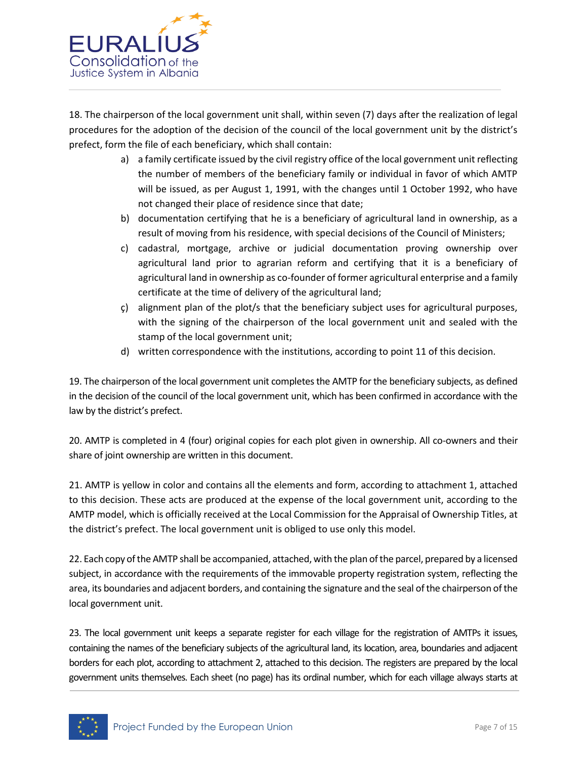

18. The chairperson of the local government unit shall, within seven (7) days after the realization of legal procedures for the adoption of the decision of the council of the local government unit by the district's prefect, form the file of each beneficiary, which shall contain:

- a) a family certificate issued by the civil registry office of the local government unit reflecting the number of members of the beneficiary family or individual in favor of which AMTP will be issued, as per August 1, 1991, with the changes until 1 October 1992, who have not changed their place of residence since that date;
- b) documentation certifying that he is a beneficiary of agricultural land in ownership, as a result of moving from his residence, with special decisions of the Council of Ministers;
- c) cadastral, mortgage, archive or judicial documentation proving ownership over agricultural land prior to agrarian reform and certifying that it is a beneficiary of agricultural land in ownership as co-founder of former agricultural enterprise and a family certificate at the time of delivery of the agricultural land;
- ç) alignment plan of the plot/s that the beneficiary subject uses for agricultural purposes, with the signing of the chairperson of the local government unit and sealed with the stamp of the local government unit;
- d) written correspondence with the institutions, according to point 11 of this decision.

19. The chairperson of the local government unit completes the AMTP for the beneficiary subjects, as defined in the decision of the council of the local government unit, which has been confirmed in accordance with the law by the district's prefect.

20. AMTP is completed in 4 (four) original copies for each plot given in ownership. All co-owners and their share of joint ownership are written in this document.

21. AMTP is yellow in color and contains all the elements and form, according to attachment 1, attached to this decision. These acts are produced at the expense of the local government unit, according to the AMTP model, which is officially received at the Local Commission for the Appraisal of Ownership Titles, at the district's prefect. The local government unit is obliged to use only this model.

22. Each copy of the AMTP shall be accompanied, attached, with the plan of the parcel, prepared by a licensed subject, in accordance with the requirements of the immovable property registration system, reflecting the area, its boundaries and adjacent borders, and containing the signature and the seal of the chairperson of the local government unit.

23. The local government unit keeps a separate register for each village for the registration of AMTPs it issues, containing the names of the beneficiary subjects of the agricultural land, its location, area, boundaries and adjacent borders for each plot, according to attachment 2, attached to this decision. The registers are prepared by the local government units themselves. Each sheet (no page) has its ordinal number, which for each village always starts at

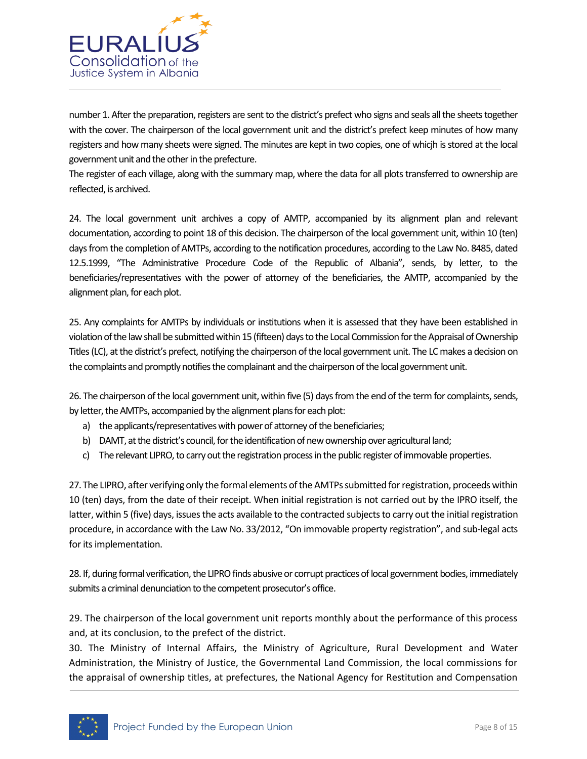

number 1. After the preparation, registers are sent to the district's prefect who signs and seals all the sheets together with the cover. The chairperson of the local government unit and the district's prefect keep minutes of how many registers and how many sheets were signed. The minutes are kept in two copies, one of whicjh is stored at the local government unit and the other in the prefecture.

The register of each village, along with the summary map, where the data for all plots transferred to ownership are reflected, is archived.

24. The local government unit archives a copy of AMTP, accompanied by its alignment plan and relevant documentation, according to point 18 of this decision. The chairperson of the local government unit, within 10 (ten) days from the completion of AMTPs, according to the notification procedures, according to the Law No. 8485, dated 12.5.1999, "The Administrative Procedure Code of the Republic of Albania", sends, by letter, to the beneficiaries/representatives with the power of attorney of the beneficiaries, the AMTP, accompanied by the alignment plan, for each plot.

25. Any complaints for AMTPs by individuals or institutions when it is assessed that they have been established in violation of the law shall be submitted within 15 (fifteen) days to the Local Commission for the Appraisal of Ownership Titles (LC), at the district's prefect, notifying the chairperson of the local government unit. The LC makes a decision on the complaints and promptly notifies the complainant and the chairperson of the local government unit.

26. The chairperson of the local government unit, within five (5) days from the end of the term for complaints, sends, by letter, the AMTPs, accompanied by the alignment plans for each plot:

- a) the applicants/representatives with power of attorney of the beneficiaries;
- b) DAMT, at the district's council, for the identification of new ownership over agricultural land;
- c) The relevant LIPRO, to carry out the registration process in the public register of immovable properties.

27.The LIPRO, after verifying only the formal elements of the AMTPs submitted for registration, proceeds within 10 (ten) days, from the date of their receipt. When initial registration is not carried out by the IPRO itself, the latter, within 5 (five) days, issues the acts available to the contracted subjects to carry out the initial registration procedure, in accordance with the Law No. 33/2012, "On immovable property registration", and sub-legal acts for its implementation.

28. If, during formal verification, the LIPRO finds abusive or corrupt practices of local government bodies, immediately submits a criminal denunciation to the competent prosecutor's office.

29. The chairperson of the local government unit reports monthly about the performance of this process and, at its conclusion, to the prefect of the district.

30. The Ministry of Internal Affairs, the Ministry of Agriculture, Rural Development and Water Administration, the Ministry of Justice, the Governmental Land Commission, the local commissions for the appraisal of ownership titles, at prefectures, the National Agency for Restitution and Compensation

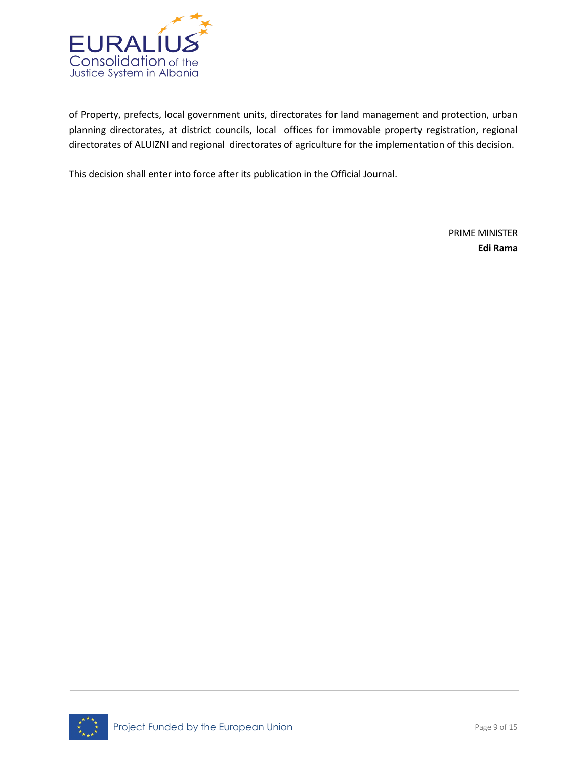

of Property, prefects, local government units, directorates for land management and protection, urban planning directorates, at district councils, local offices for immovable property registration, regional directorates of ALUIZNI and regional directorates of agriculture for the implementation of this decision.

This decision shall enter into force after its publication in the Official Journal.

PRIME MINISTER **Edi Rama**

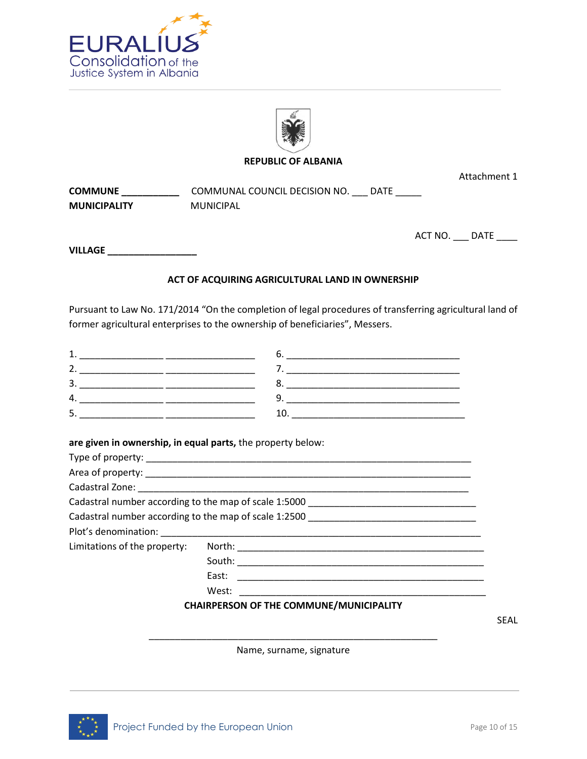



### **REPUBLIC OF ALBANIA**

Attachment 1

**COMMUNE \_\_\_\_\_\_\_\_\_\_\_** COMMUNAL COUNCIL DECISION NO. \_\_\_ DATE \_\_\_\_\_ **MUNICIPALITY** MUNICIPAL

ACT NO. \_\_\_ DATE \_\_\_\_

**VILLAGE \_\_\_\_\_\_\_\_\_\_\_\_\_\_\_\_\_** 

## **ACT OF ACQUIRING AGRICULTURAL LAND IN OWNERSHIP**

Pursuant to Law No. 171/2014 "On the completion of legal procedures of transferring agricultural land of former agricultural enterprises to the ownership of beneficiaries", Messers.

**are given in ownership, in equal parts,** the property below:

| Cadastral number according to the map of scale 1:5000 ___________________________ |
|-----------------------------------------------------------------------------------|
| Cadastral number according to the map of scale 1:2500 ___________________________ |
|                                                                                   |
|                                                                                   |
|                                                                                   |
| East:<br><u> 1999 - Jan James James Alexandro III (m. 1989)</u>                   |
| West:                                                                             |
| <b>CHAIRPERSON OF THE COMMUNE/MUNICIPALITY</b>                                    |

SEAL

\_\_\_\_\_\_\_\_\_\_\_\_\_\_\_\_\_\_\_\_\_\_\_\_\_\_\_\_\_\_\_\_\_\_\_\_\_\_\_\_\_\_\_\_\_\_\_\_\_\_\_\_\_\_\_ Name, surname, signature

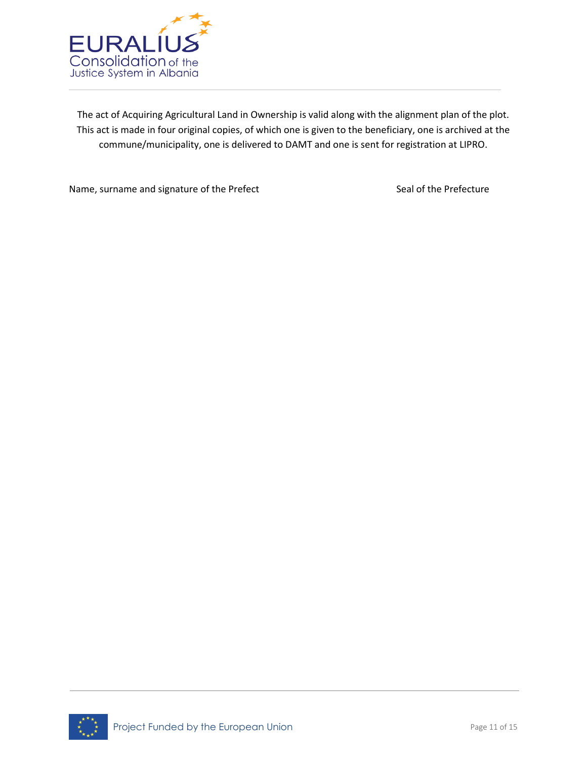

The act of Acquiring Agricultural Land in Ownership is valid along with the alignment plan of the plot. This act is made in four original copies, of which one is given to the beneficiary, one is archived at the commune/municipality, one is delivered to DAMT and one is sent for registration at LIPRO.

Name, surname and signature of the Prefect Seal of the Prefecture

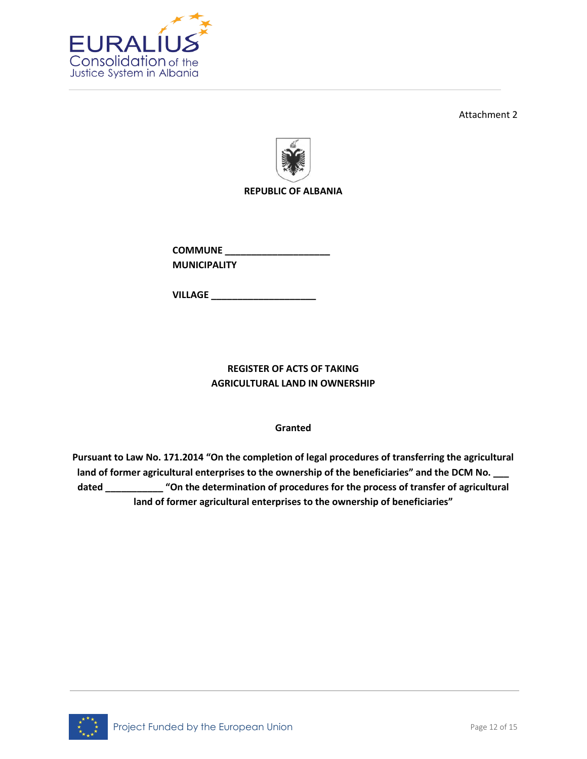

Attachment 2



**REPUBLIC OF ALBANIA**

**COMMUNE \_\_\_\_\_\_\_\_\_\_\_\_\_\_\_\_\_\_\_\_ MUNICIPALITY**

**VILLAGE \_\_\_\_\_\_\_\_\_\_\_\_\_\_\_\_\_\_\_\_** 

# **REGISTER OF ACTS OF TAKING AGRICULTURAL LAND IN OWNERSHIP**

# **Granted**

**Pursuant to Law No. 171.2014 "On the completion of legal procedures of transferring the agricultural land of former agricultural enterprises to the ownership of the beneficiaries" and the DCM No. \_\_\_ dated \_\_\_\_\_\_\_\_\_\_\_ "On the determination of procedures for the process of transfer of agricultural land of former agricultural enterprises to the ownership of beneficiaries"** 

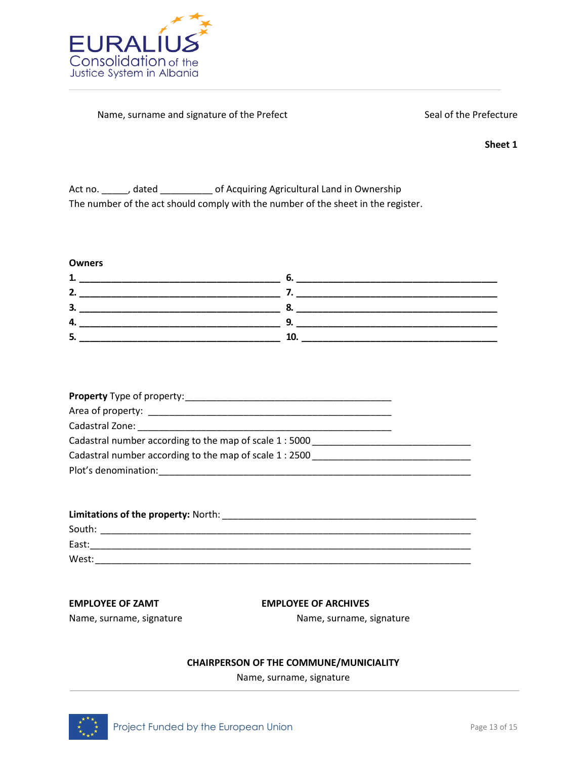

### Name, surname and signature of the Prefect Seal of the Prefecture

**Sheet 1**

Act no. \_\_\_\_\_, dated \_\_\_\_\_\_\_\_\_\_\_ of Acquiring Agricultural Land in Ownership The number of the act should comply with the number of the sheet in the register.

### **Owners**

| 3 |  |
|---|--|
| ◢ |  |
| כ |  |

| Cadastral number according to the map of scale 1:5000 |  |
|-------------------------------------------------------|--|
| Cadastral number according to the map of scale 1:2500 |  |
| Plot's denomination:                                  |  |

| Limitations of the property: North: |  |
|-------------------------------------|--|
| South:                              |  |
| East:                               |  |
| West:                               |  |

### **EMPLOYEE OF ZAMT EMPLOYEE OF ARCHIVES**

Name, surname, signature Name, surname, signature

## **CHAIRPERSON OF THE COMMUNE/MUNICIALITY**

Name, surname, signature

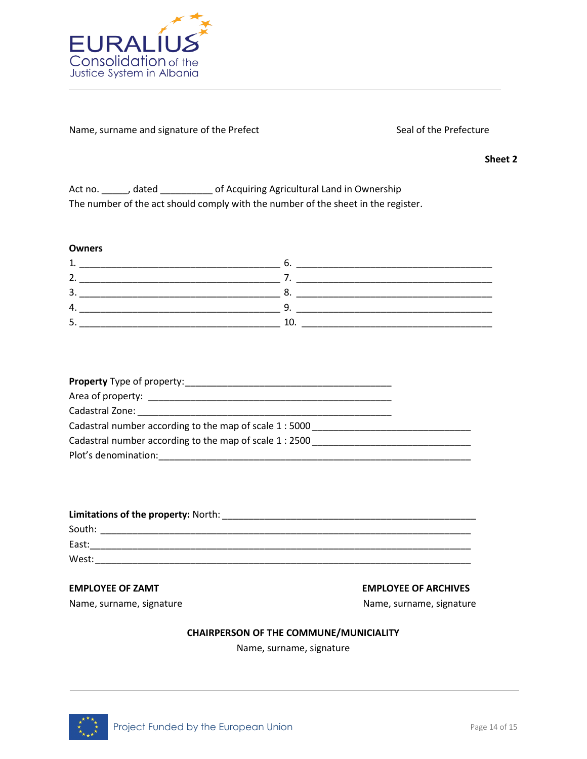

Name, surname and signature of the Prefect Seal of the Prefecture

**Sheet 2**

| Act no. | , dated | of Acquiring Agricultural Land in Ownership                                       |
|---------|---------|-----------------------------------------------------------------------------------|
|         |         | The number of the act should comply with the number of the sheet in the register. |

## **Owners**

| 3      |  |
|--------|--|
|        |  |
| ∽<br>ٮ |  |

| Cadastral number according to the map of scale 1:5000   |  |
|---------------------------------------------------------|--|
| Cadastral number according to the map of scale 1 : 2500 |  |
| Plot's denomination:                                    |  |

| Limitations of the property: North: |
|-------------------------------------|
| South:                              |
| East:                               |
| West:                               |

Name, surname, signature Name, surname, signature Name, surname, signature

## **EMPLOYEE OF ZAMT EMPLOYEE OF ARCHIVES**

## **CHAIRPERSON OF THE COMMUNE/MUNICIALITY**

Name, surname, signature